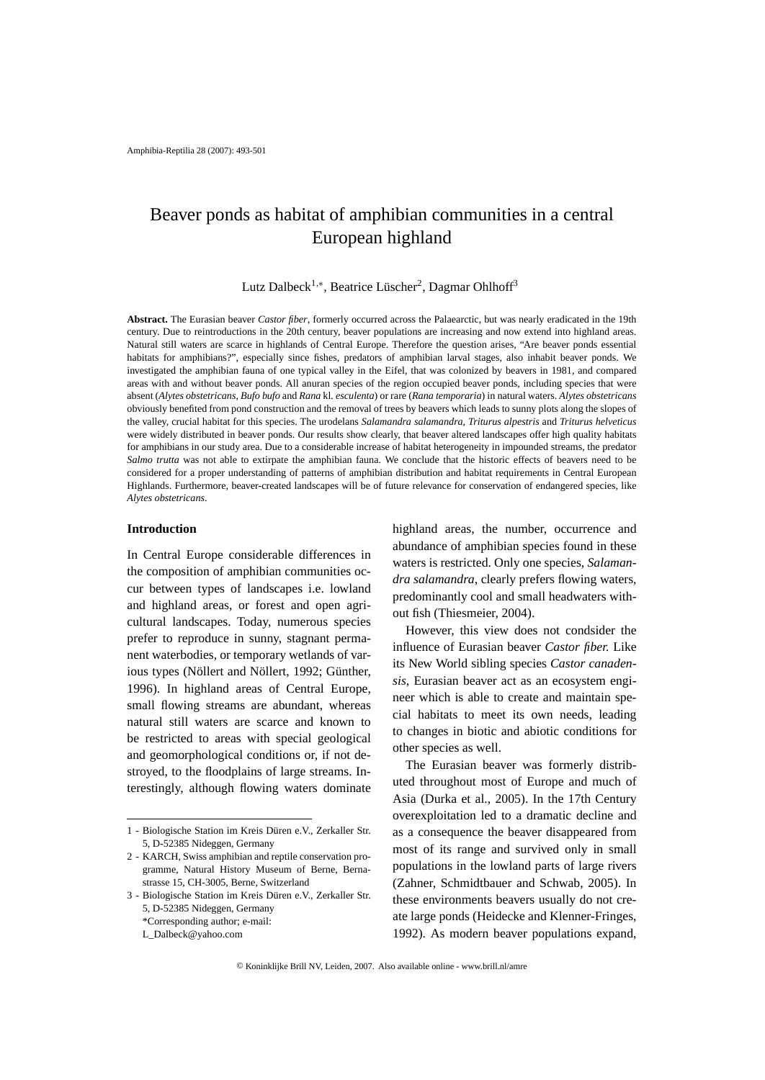# Beaver ponds as habitat of amphibian communities in a central European highland

## Lutz Dalbeck<sup>1,∗</sup>, Beatrice Lüscher<sup>2</sup>, Dagmar Ohlhoff<sup>3</sup>

**Abstract.** The Eurasian beaver *Castor fiber*, formerly occurred across the Palaearctic, but was nearly eradicated in the 19th century. Due to reintroductions in the 20th century, beaver populations are increasing and now extend into highland areas. Natural still waters are scarce in highlands of Central Europe. Therefore the question arises, "Are beaver ponds essential habitats for amphibians?", especially since fishes, predators of amphibian larval stages, also inhabit beaver ponds. We investigated the amphibian fauna of one typical valley in the Eifel, that was colonized by beavers in 1981, and compared areas with and without beaver ponds. All anuran species of the region occupied beaver ponds, including species that were absent (*Alytes obstetricans*, *Bufo bufo* and *Rana* kl. *esculenta*) or rare (*Rana temporaria*) in natural waters. *Alytes obstetricans* obviously benefited from pond construction and the removal of trees by beavers which leads to sunny plots along the slopes of the valley, crucial habitat for this species. The urodelans *Salamandra salamandra*, *Triturus alpestris* and *Triturus helveticus* were widely distributed in beaver ponds. Our results show clearly, that beaver altered landscapes offer high quality habitats for amphibians in our study area. Due to a considerable increase of habitat heterogeneity in impounded streams, the predator *Salmo trutta* was not able to extirpate the amphibian fauna. We conclude that the historic effects of beavers need to be considered for a proper understanding of patterns of amphibian distribution and habitat requirements in Central European Highlands. Furthermore, beaver-created landscapes will be of future relevance for conservation of endangered species, like *Alytes obstetricans*.

#### **Introduction**

In Central Europe considerable differences in the composition of amphibian communities occur between types of landscapes i.e. lowland and highland areas, or forest and open agricultural landscapes. Today, numerous species prefer to reproduce in sunny, stagnant permanent waterbodies, or temporary wetlands of various types (Nöllert and Nöllert, 1992; Günther, 1996). In highland areas of Central Europe, small flowing streams are abundant, whereas natural still waters are scarce and known to be restricted to areas with special geological and geomorphological conditions or, if not destroyed, to the floodplains of large streams. Interestingly, although flowing waters dominate highland areas, the number, occurrence and abundance of amphibian species found in these waters is restricted. Only one species, *Salamandra salamandra*, clearly prefers flowing waters, predominantly cool and small headwaters without fish (Thiesmeier, 2004).

However, this view does not condsider the influence of Eurasian beaver *Castor fiber.* Like its New World sibling species *Castor canadensis*, Eurasian beaver act as an ecosystem engineer which is able to create and maintain special habitats to meet its own needs, leading to changes in biotic and abiotic conditions for other species as well.

The Eurasian beaver was formerly distributed throughout most of Europe and much of Asia (Durka et al., 2005). In the 17th Century overexploitation led to a dramatic decline and as a consequence the beaver disappeared from most of its range and survived only in small populations in the lowland parts of large rivers (Zahner, Schmidtbauer and Schwab, 2005). In these environments beavers usually do not create large ponds (Heidecke and Klenner-Fringes, 1992). As modern beaver populations expand,

<sup>1 -</sup> Biologische Station im Kreis Düren e.V., Zerkaller Str. 5, D-52385 Nideggen, Germany

<sup>2 -</sup> KARCH, Swiss amphibian and reptile conservation programme, Natural History Museum of Berne, Bernastrasse 15, CH-3005, Berne, Switzerland

<sup>3 -</sup> Biologische Station im Kreis Düren e.V., Zerkaller Str. 5, D-52385 Nideggen, Germany

<sup>\*</sup>Corresponding author; e-mail:

L\_Dalbeck@yahoo.com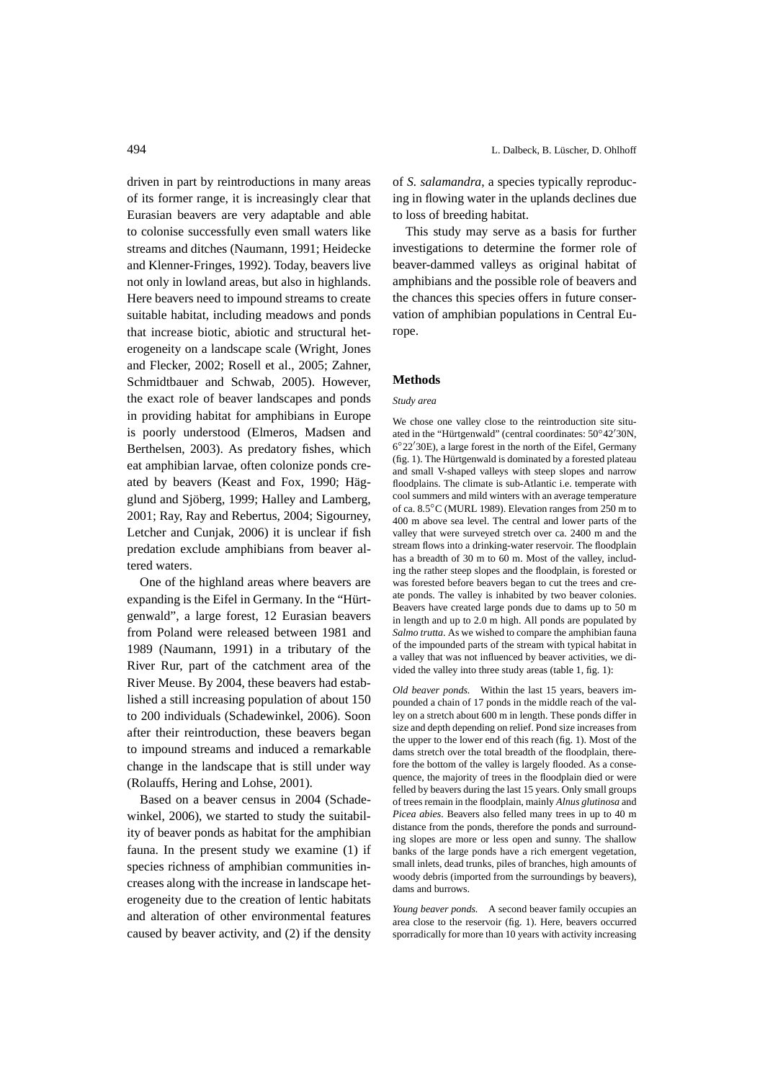driven in part by reintroductions in many areas of its former range, it is increasingly clear that Eurasian beavers are very adaptable and able to colonise successfully even small waters like streams and ditches (Naumann, 1991; Heidecke and Klenner-Fringes, 1992). Today, beavers live not only in lowland areas, but also in highlands. Here beavers need to impound streams to create suitable habitat, including meadows and ponds that increase biotic, abiotic and structural heterogeneity on a landscape scale (Wright, Jones and Flecker, 2002; Rosell et al., 2005; Zahner, Schmidtbauer and Schwab, 2005). However, the exact role of beaver landscapes and ponds in providing habitat for amphibians in Europe is poorly understood (Elmeros, Madsen and Berthelsen, 2003). As predatory fishes, which eat amphibian larvae, often colonize ponds created by beavers (Keast and Fox, 1990; Hägglund and Sjöberg, 1999; Halley and Lamberg, 2001; Ray, Ray and Rebertus, 2004; Sigourney, Letcher and Cunjak, 2006) it is unclear if fish predation exclude amphibians from beaver altered waters.

One of the highland areas where beavers are expanding is the Eifel in Germany. In the "Hürtgenwald", a large forest, 12 Eurasian beavers from Poland were released between 1981 and 1989 (Naumann, 1991) in a tributary of the River Rur, part of the catchment area of the River Meuse. By 2004, these beavers had established a still increasing population of about 150 to 200 individuals (Schadewinkel, 2006). Soon after their reintroduction, these beavers began to impound streams and induced a remarkable change in the landscape that is still under way (Rolauffs, Hering and Lohse, 2001).

Based on a beaver census in 2004 (Schadewinkel, 2006), we started to study the suitability of beaver ponds as habitat for the amphibian fauna. In the present study we examine (1) if species richness of amphibian communities increases along with the increase in landscape heterogeneity due to the creation of lentic habitats and alteration of other environmental features caused by beaver activity, and (2) if the density

of *S. salamandra*, a species typically reproducing in flowing water in the uplands declines due to loss of breeding habitat.

This study may serve as a basis for further investigations to determine the former role of beaver-dammed valleys as original habitat of amphibians and the possible role of beavers and the chances this species offers in future conservation of amphibian populations in Central Europe.

#### **Methods**

#### *Study area*

We chose one valley close to the reintroduction site situated in the "Hürtgenwald" (central coordinates: 50°42'30N, 6◦22 30E), a large forest in the north of the Eifel, Germany (fig. 1). The Hürtgenwald is dominated by a forested plateau and small V-shaped valleys with steep slopes and narrow floodplains. The climate is sub-Atlantic i.e. temperate with cool summers and mild winters with an average temperature of ca. 8.5◦C (MURL 1989). Elevation ranges from 250 m to 400 m above sea level. The central and lower parts of the valley that were surveyed stretch over ca. 2400 m and the stream flows into a drinking-water reservoir. The floodplain has a breadth of 30 m to 60 m. Most of the valley, including the rather steep slopes and the floodplain, is forested or was forested before beavers began to cut the trees and create ponds. The valley is inhabited by two beaver colonies. Beavers have created large ponds due to dams up to 50 m in length and up to 2.0 m high. All ponds are populated by *Salmo trutta*. As we wished to compare the amphibian fauna of the impounded parts of the stream with typical habitat in a valley that was not influenced by beaver activities, we divided the valley into three study areas (table 1, fig. 1):

*Old beaver ponds.* Within the last 15 years, beavers impounded a chain of 17 ponds in the middle reach of the valley on a stretch about 600 m in length. These ponds differ in size and depth depending on relief. Pond size increases from the upper to the lower end of this reach (fig. 1). Most of the dams stretch over the total breadth of the floodplain, therefore the bottom of the valley is largely flooded. As a consequence, the majority of trees in the floodplain died or were felled by beavers during the last 15 years. Only small groups of trees remain in the floodplain, mainly *Alnus glutinosa* and *Picea abies*. Beavers also felled many trees in up to 40 m distance from the ponds, therefore the ponds and surrounding slopes are more or less open and sunny. The shallow banks of the large ponds have a rich emergent vegetation, small inlets, dead trunks, piles of branches, high amounts of woody debris (imported from the surroundings by beavers), dams and burrows.

*Young beaver ponds.* A second beaver family occupies an area close to the reservoir (fig. 1). Here, beavers occurred sporradically for more than 10 years with activity increasing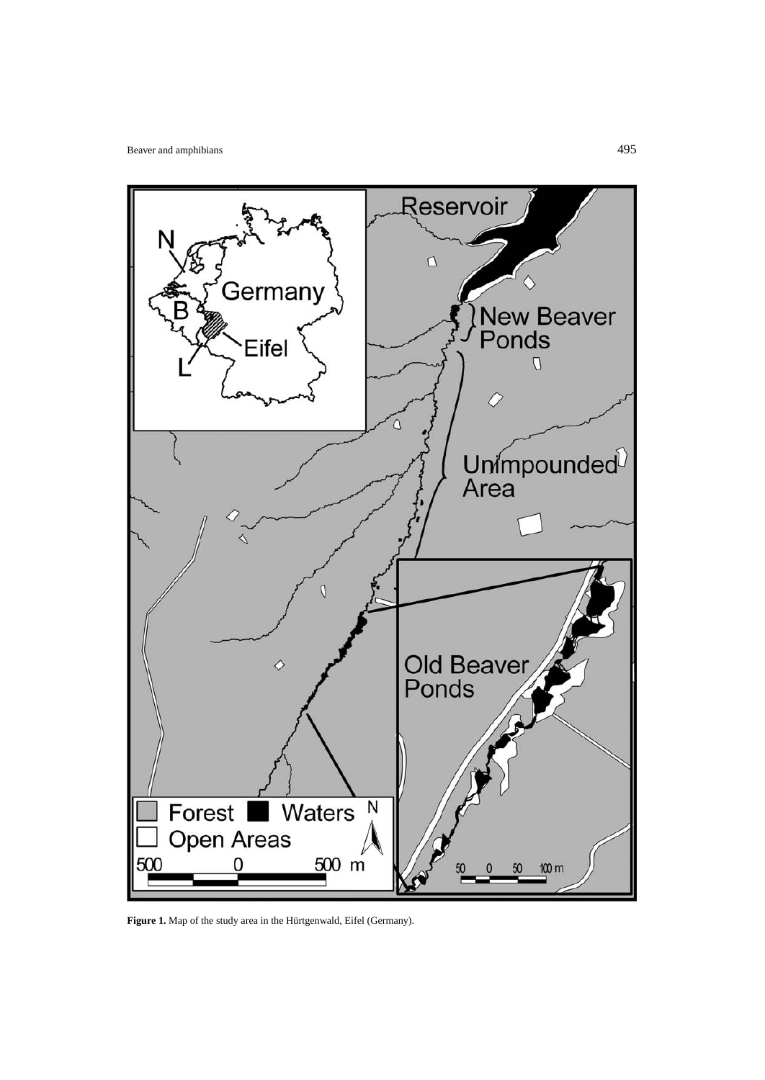

**Figure 1.** Map of the study area in the Hürtgenwald, Eifel (Germany).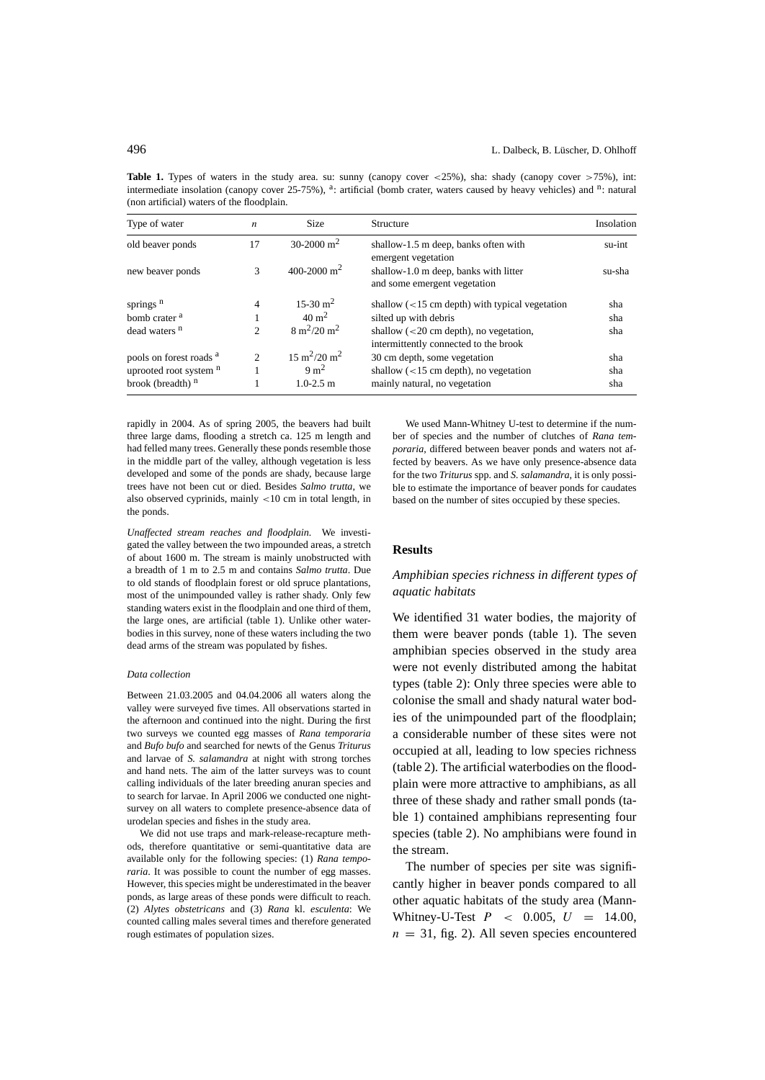**Table 1.** Types of waters in the study area. su: sunny (canopy cover *<*25%), sha: shady (canopy cover *>*75%), int: intermediate insolation (canopy cover  $25-75\%$ ),  $a$ : artificial (bomb crater, waters caused by heavy vehicles) and  $n$ : natural (non artificial) waters of the floodplain.

| Type of water                      | $\boldsymbol{n}$ | <b>Size</b>                     | Structure                                                                                        | Insolation |
|------------------------------------|------------------|---------------------------------|--------------------------------------------------------------------------------------------------|------------|
| old beaver ponds                   | 17               | $30-2000$ m <sup>2</sup>        | shallow-1.5 m deep, banks often with<br>emergent vegetation                                      | su-int     |
| new beaver ponds                   | 3                | $400 - 2000$ m <sup>2</sup>     | shallow-1.0 m deep, banks with litter<br>and some emergent vegetation                            | su-sha     |
| springs $n$                        | 4                | $15-30$ m <sup>2</sup>          | shallow $\left($ < 15 cm depth) with typical vegetation                                          | sha        |
| bomb crater <sup>a</sup>           |                  | $40 \text{ m}^2$                | silted up with debris                                                                            | sha        |
| dead waters <sup>n</sup>           | $\mathfrak{D}$   | $8 \text{ m}^2/20 \text{ m}^2$  | shallow $\left( < 20 \right)$ cm depth), no vegetation,<br>intermittently connected to the brook | sha        |
| pools on forest roads <sup>a</sup> | $\overline{c}$   | $15 \text{ m}^2/20 \text{ m}^2$ | 30 cm depth, some vegetation                                                                     | sha        |
| uprooted root system <sup>n</sup>  |                  | $9 \text{ m}^2$                 | shallow $(<15$ cm depth), no vegetation                                                          | sha        |
| brook (breadth) $n$                |                  | $1.0 - 2.5$ m                   | mainly natural, no vegetation                                                                    | sha        |

rapidly in 2004. As of spring 2005, the beavers had built three large dams, flooding a stretch ca. 125 m length and had felled many trees. Generally these ponds resemble those in the middle part of the valley, although vegetation is less developed and some of the ponds are shady, because large trees have not been cut or died. Besides *Salmo trutta*, we also observed cyprinids, mainly *<*10 cm in total length, in the ponds.

*Unaffected stream reaches and floodplain.* We investigated the valley between the two impounded areas, a stretch of about 1600 m. The stream is mainly unobstructed with a breadth of 1 m to 2.5 m and contains *Salmo trutta*. Due to old stands of floodplain forest or old spruce plantations, most of the unimpounded valley is rather shady. Only few standing waters exist in the floodplain and one third of them, the large ones, are artificial (table 1). Unlike other waterbodies in this survey, none of these waters including the two dead arms of the stream was populated by fishes.

#### *Data collection*

Between 21.03.2005 and 04.04.2006 all waters along the valley were surveyed five times. All observations started in the afternoon and continued into the night. During the first two surveys we counted egg masses of *Rana temporaria* and *Bufo bufo* and searched for newts of the Genus *Triturus* and larvae of *S. salamandra* at night with strong torches and hand nets. The aim of the latter surveys was to count calling individuals of the later breeding anuran species and to search for larvae. In April 2006 we conducted one nightsurvey on all waters to complete presence-absence data of urodelan species and fishes in the study area.

We did not use traps and mark-release-recapture methods, therefore quantitative or semi-quantitative data are available only for the following species: (1) *Rana temporaria*. It was possible to count the number of egg masses. However, this species might be underestimated in the beaver ponds, as large areas of these ponds were difficult to reach. (2) *Alytes obstetricans* and (3) *Rana* kl. *esculenta*: We counted calling males several times and therefore generated rough estimates of population sizes.

We used Mann-Whitney U-test to determine if the number of species and the number of clutches of *Rana temporaria*, differed between beaver ponds and waters not affected by beavers. As we have only presence-absence data for the two *Triturus* spp. and *S. salamandra*, it is only possible to estimate the importance of beaver ponds for caudates based on the number of sites occupied by these species.

## **Results**

## *Amphibian species richness in different types of aquatic habitats*

We identified 31 water bodies, the majority of them were beaver ponds (table 1). The seven amphibian species observed in the study area were not evenly distributed among the habitat types (table 2): Only three species were able to colonise the small and shady natural water bodies of the unimpounded part of the floodplain; a considerable number of these sites were not occupied at all, leading to low species richness (table 2). The artificial waterbodies on the floodplain were more attractive to amphibians, as all three of these shady and rather small ponds (table 1) contained amphibians representing four species (table 2). No amphibians were found in the stream.

The number of species per site was significantly higher in beaver ponds compared to all other aquatic habitats of the study area (Mann-Whitney-U-Test *P <* 0*.*005, *U* = 14*.*00,  $n = 31$ , fig. 2). All seven species encountered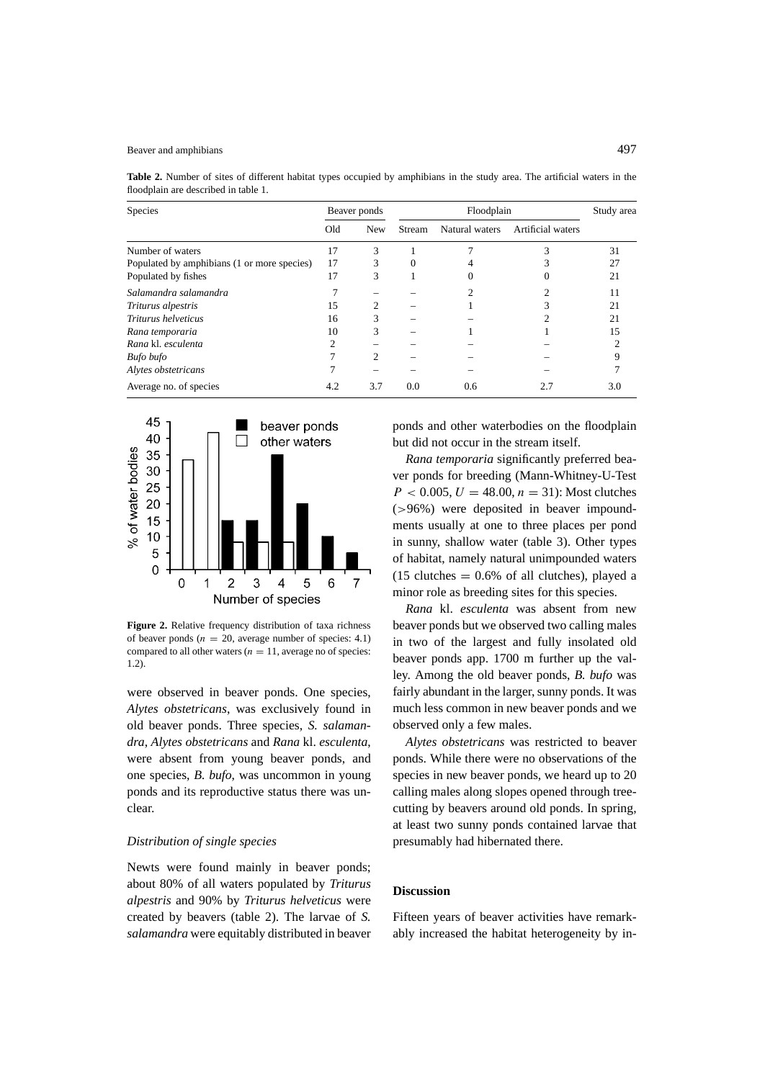**Table 2.** Number of sites of different habitat types occupied by amphibians in the study area. The artificial waters in the floodplain are described in table 1.

| <b>Species</b>                              | Beaver ponds   |                |          | Study area     |                   |     |
|---------------------------------------------|----------------|----------------|----------|----------------|-------------------|-----|
|                                             | Old            | <b>New</b>     | Stream   | Natural waters | Artificial waters |     |
| Number of waters                            | 17             | 3              |          |                |                   | 31  |
| Populated by amphibians (1 or more species) | 17             | 3              | $\Omega$ |                |                   | 27  |
| Populated by fishes                         | 17             | 3              |          |                |                   | 21  |
| Salamandra salamandra                       | 7              |                |          |                |                   | 11  |
| Triturus alpestris                          | 15             |                |          |                |                   | 21  |
| Triturus helyeticus                         | 16             | 3              |          |                |                   | 21  |
| Rana temporaria                             | 10             | 3              |          |                |                   | 15  |
| Rana kl. esculenta                          | $\overline{c}$ |                |          |                |                   |     |
| Bufo bufo                                   |                | $\mathfrak{D}$ |          |                |                   |     |
| Alytes obstetricans                         |                |                |          |                |                   |     |
| Average no. of species                      | 4.2            | 3.7            | 0.0      | 0.6            | 2.7               | 3.0 |



**Figure 2.** Relative frequency distribution of taxa richness of beaver ponds ( $n = 20$ , average number of species: 4.1) compared to all other waters  $(n = 11)$ , average no of species: 1.2).

were observed in beaver ponds. One species, *Alytes obstetricans*, was exclusively found in old beaver ponds. Three species, *S. salamandra*, *Alytes obstetricans* and *Rana* kl. *esculenta*, were absent from young beaver ponds, and one species, *B. bufo*, was uncommon in young ponds and its reproductive status there was unclear.

### *Distribution of single species*

Newts were found mainly in beaver ponds; about 80% of all waters populated by *Triturus alpestris* and 90% by *Triturus helveticus* were created by beavers (table 2). The larvae of *S. salamandra* were equitably distributed in beaver

ponds and other waterbodies on the floodplain but did not occur in the stream itself.

*Rana temporaria* significantly preferred beaver ponds for breeding (Mann-Whitney-U-Test  $P < 0.005, U = 48.00, n = 31$ : Most clutches (*>*96%) were deposited in beaver impoundments usually at one to three places per pond in sunny, shallow water (table 3). Other types of habitat, namely natural unimpounded waters  $(15 \text{ clutches} = 0.6\% \text{ of all clutches}),$  played a minor role as breeding sites for this species.

*Rana* kl. *esculenta* was absent from new beaver ponds but we observed two calling males in two of the largest and fully insolated old beaver ponds app. 1700 m further up the valley. Among the old beaver ponds, *B. bufo* was fairly abundant in the larger, sunny ponds. It was much less common in new beaver ponds and we observed only a few males.

*Alytes obstetricans* was restricted to beaver ponds. While there were no observations of the species in new beaver ponds, we heard up to 20 calling males along slopes opened through treecutting by beavers around old ponds. In spring, at least two sunny ponds contained larvae that presumably had hibernated there.

## **Discussion**

Fifteen years of beaver activities have remarkably increased the habitat heterogeneity by in-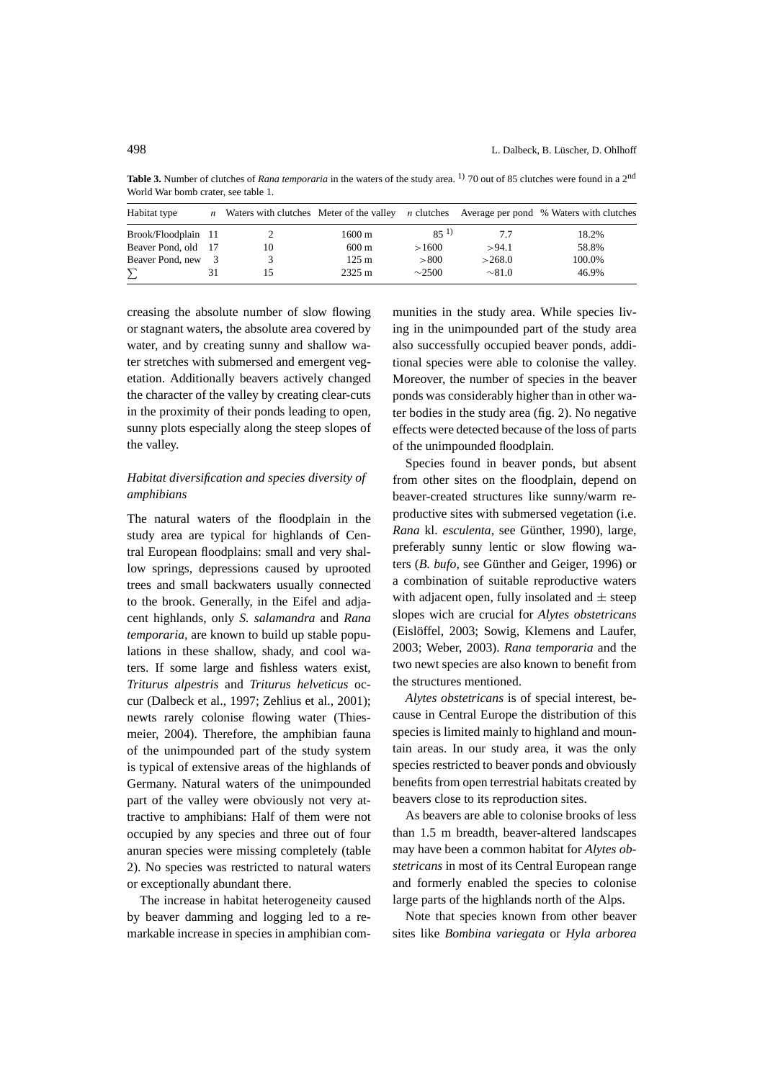**Table 3.** Number of clutches of *Rana temporaria* in the waters of the study area. <sup>1)</sup> 70 out of 85 clutches were found in a 2<sup>nd</sup> World War bomb crater, see table 1.

| Habitat type        | $\mathfrak{n}$ |    |                 |             |             | Waters with clutches Meter of the valley $n$ clutches Average per pond $%$ Waters with clutches |
|---------------------|----------------|----|-----------------|-------------|-------------|-------------------------------------------------------------------------------------------------|
| Brook/Floodplain 11 |                |    | 1600 m          | $85^{1}$    | 7.7         | 18.2%                                                                                           |
| Beaver Pond, old 17 |                | 10 | $600 \text{ m}$ | >1600       | >94.1       | 58.8%                                                                                           |
| Beaver Pond, new 3  |                |    | 125 m           | > 800       | >268.0      | 100.0%                                                                                          |
| Σ                   | 31             |    | 2325 m          | $\sim$ 2500 | $\sim$ 81.0 | 46.9%                                                                                           |

creasing the absolute number of slow flowing or stagnant waters, the absolute area covered by water, and by creating sunny and shallow water stretches with submersed and emergent vegetation. Additionally beavers actively changed the character of the valley by creating clear-cuts in the proximity of their ponds leading to open, sunny plots especially along the steep slopes of the valley.

## *Habitat diversification and species diversity of amphibians*

The natural waters of the floodplain in the study area are typical for highlands of Central European floodplains: small and very shallow springs, depressions caused by uprooted trees and small backwaters usually connected to the brook. Generally, in the Eifel and adjacent highlands, only *S. salamandra* and *Rana temporaria*, are known to build up stable populations in these shallow, shady, and cool waters. If some large and fishless waters exist, *Triturus alpestris* and *Triturus helveticus* occur (Dalbeck et al., 1997; Zehlius et al., 2001); newts rarely colonise flowing water (Thiesmeier, 2004). Therefore, the amphibian fauna of the unimpounded part of the study system is typical of extensive areas of the highlands of Germany. Natural waters of the unimpounded part of the valley were obviously not very attractive to amphibians: Half of them were not occupied by any species and three out of four anuran species were missing completely (table 2). No species was restricted to natural waters or exceptionally abundant there.

The increase in habitat heterogeneity caused by beaver damming and logging led to a remarkable increase in species in amphibian communities in the study area. While species living in the unimpounded part of the study area also successfully occupied beaver ponds, additional species were able to colonise the valley. Moreover, the number of species in the beaver ponds was considerably higher than in other water bodies in the study area (fig. 2). No negative effects were detected because of the loss of parts of the unimpounded floodplain.

Species found in beaver ponds, but absent from other sites on the floodplain, depend on beaver-created structures like sunny/warm reproductive sites with submersed vegetation (i.e. *Rana* kl. *esculenta*, see Günther, 1990), large, preferably sunny lentic or slow flowing waters (*B. bufo*, see Günther and Geiger, 1996) or a combination of suitable reproductive waters with adjacent open, fully insolated and  $\pm$  steep slopes wich are crucial for *Alytes obstetricans* (Eislöffel, 2003; Sowig, Klemens and Laufer, 2003; Weber, 2003). *Rana temporaria* and the two newt species are also known to benefit from the structures mentioned.

*Alytes obstetricans* is of special interest, because in Central Europe the distribution of this species is limited mainly to highland and mountain areas. In our study area, it was the only species restricted to beaver ponds and obviously benefits from open terrestrial habitats created by beavers close to its reproduction sites.

As beavers are able to colonise brooks of less than 1.5 m breadth, beaver-altered landscapes may have been a common habitat for *Alytes obstetricans* in most of its Central European range and formerly enabled the species to colonise large parts of the highlands north of the Alps.

Note that species known from other beaver sites like *Bombina variegata* or *Hyla arborea*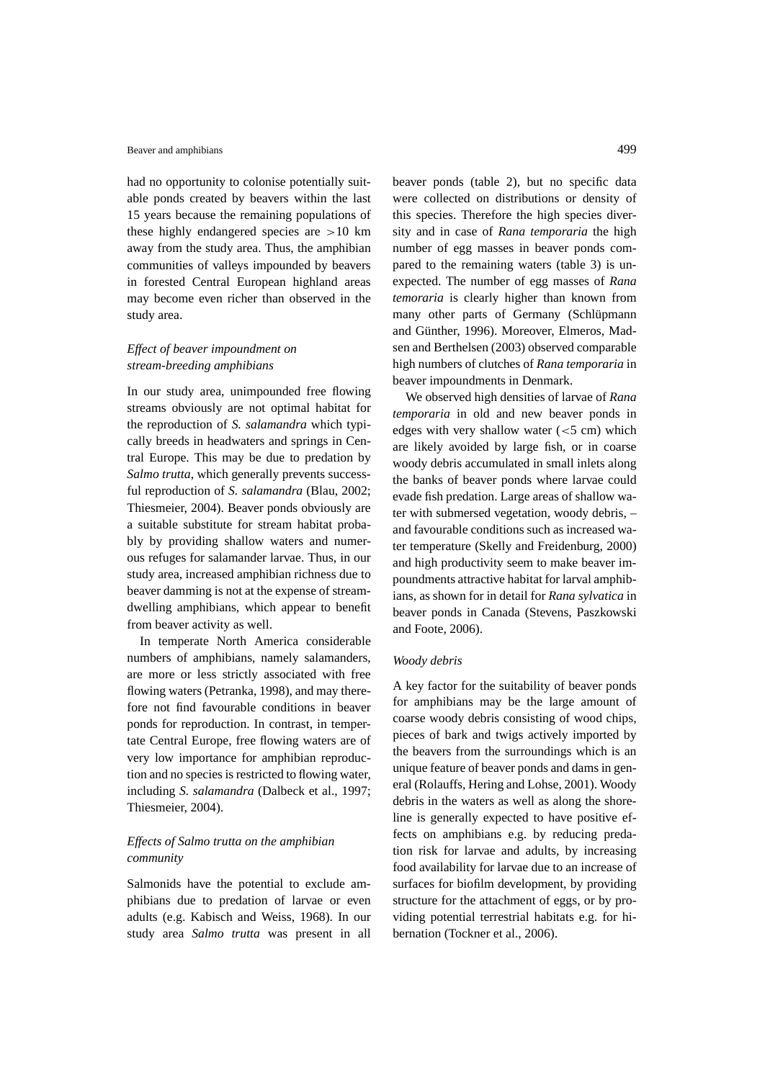## Beaver and amphibians 499

had no opportunity to colonise potentially suitable ponds created by beavers within the last 15 years because the remaining populations of these highly endangered species are *>*10 km away from the study area. Thus, the amphibian communities of valleys impounded by beavers in forested Central European highland areas may become even richer than observed in the study area.

## *Effect of beaver impoundment on stream-breeding amphibians*

In our study area, unimpounded free flowing streams obviously are not optimal habitat for the reproduction of *S. salamandra* which typically breeds in headwaters and springs in Central Europe. This may be due to predation by *Salmo trutta*, which generally prevents successful reproduction of *S. salamandra* (Blau, 2002; Thiesmeier, 2004). Beaver ponds obviously are a suitable substitute for stream habitat probably by providing shallow waters and numerous refuges for salamander larvae. Thus, in our study area, increased amphibian richness due to beaver damming is not at the expense of streamdwelling amphibians, which appear to benefit from beaver activity as well.

In temperate North America considerable numbers of amphibians, namely salamanders, are more or less strictly associated with free flowing waters (Petranka, 1998), and may therefore not find favourable conditions in beaver ponds for reproduction. In contrast, in tempertate Central Europe, free flowing waters are of very low importance for amphibian reproduction and no species is restricted to flowing water, including *S. salamandra* (Dalbeck et al., 1997; Thiesmeier, 2004).

## *Effects of Salmo trutta on the amphibian community*

Salmonids have the potential to exclude amphibians due to predation of larvae or even adults (e.g. Kabisch and Weiss, 1968). In our study area *Salmo trutta* was present in all beaver ponds (table 2), but no specific data were collected on distributions or density of this species. Therefore the high species diversity and in case of *Rana temporaria* the high number of egg masses in beaver ponds compared to the remaining waters (table 3) is unexpected. The number of egg masses of *Rana temoraria* is clearly higher than known from many other parts of Germany (Schlüpmann and Günther, 1996). Moreover, Elmeros, Madsen and Berthelsen (2003) observed comparable high numbers of clutches of *Rana temporaria* in beaver impoundments in Denmark.

We observed high densities of larvae of *Rana temporaria* in old and new beaver ponds in edges with very shallow water (*<*5 cm) which are likely avoided by large fish, or in coarse woody debris accumulated in small inlets along the banks of beaver ponds where larvae could evade fish predation. Large areas of shallow water with submersed vegetation, woody debris, – and favourable conditions such as increased water temperature (Skelly and Freidenburg, 2000) and high productivity seem to make beaver impoundments attractive habitat for larval amphibians, as shown for in detail for *Rana sylvatica* in beaver ponds in Canada (Stevens, Paszkowski and Foote, 2006).

#### *Woody debris*

A key factor for the suitability of beaver ponds for amphibians may be the large amount of coarse woody debris consisting of wood chips, pieces of bark and twigs actively imported by the beavers from the surroundings which is an unique feature of beaver ponds and dams in general (Rolauffs, Hering and Lohse, 2001). Woody debris in the waters as well as along the shoreline is generally expected to have positive effects on amphibians e.g. by reducing predation risk for larvae and adults, by increasing food availability for larvae due to an increase of surfaces for biofilm development, by providing structure for the attachment of eggs, or by providing potential terrestrial habitats e.g. for hibernation (Tockner et al., 2006).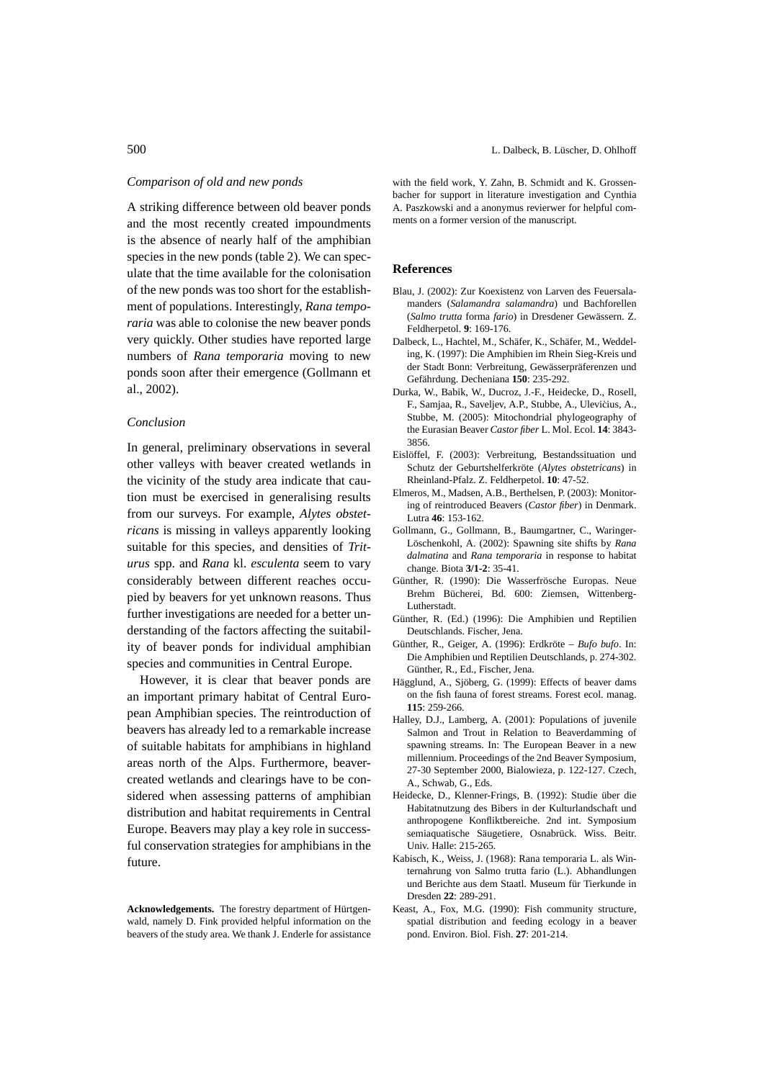## *Comparison of old and new ponds*

A striking difference between old beaver ponds and the most recently created impoundments is the absence of nearly half of the amphibian species in the new ponds (table 2). We can speculate that the time available for the colonisation of the new ponds was too short for the establishment of populations. Interestingly, *Rana temporaria* was able to colonise the new beaver ponds very quickly. Other studies have reported large numbers of *Rana temporaria* moving to new ponds soon after their emergence (Gollmann et al., 2002).

## *Conclusion*

In general, preliminary observations in several other valleys with beaver created wetlands in the vicinity of the study area indicate that caution must be exercised in generalising results from our surveys. For example, *Alytes obstetricans* is missing in valleys apparently looking suitable for this species, and densities of *Triturus* spp. and *Rana* kl. *esculenta* seem to vary considerably between different reaches occupied by beavers for yet unknown reasons. Thus further investigations are needed for a better understanding of the factors affecting the suitability of beaver ponds for individual amphibian species and communities in Central Europe.

However, it is clear that beaver ponds are an important primary habitat of Central European Amphibian species. The reintroduction of beavers has already led to a remarkable increase of suitable habitats for amphibians in highland areas north of the Alps. Furthermore, beavercreated wetlands and clearings have to be considered when assessing patterns of amphibian distribution and habitat requirements in Central Europe. Beavers may play a key role in successful conservation strategies for amphibians in the future.

**Acknowledgements.** The forestry department of Hürtgenwald, namely D. Fink provided helpful information on the beavers of the study area. We thank J. Enderle for assistance with the field work, Y. Zahn, B. Schmidt and K. Grossenbacher for support in literature investigation and Cynthia A. Paszkowski and a anonymus revierwer for helpful comments on a former version of the manuscript.

## **References**

- Blau, J. (2002): Zur Koexistenz von Larven des Feuersalamanders (*Salamandra salamandra*) und Bachforellen (*Salmo trutta* forma *fario*) in Dresdener Gewässern. Z. Feldherpetol. **9**: 169-176.
- Dalbeck, L., Hachtel, M., Schäfer, K., Schäfer, M., Weddeling, K. (1997): Die Amphibien im Rhein Sieg-Kreis und der Stadt Bonn: Verbreitung, Gewässerpräferenzen und Gefährdung. Decheniana **150**: 235-292.
- Durka, W., Babik, W., Ducroz, J.-F., Heidecke, D., Rosell, F., Samjaa, R., Saveljev, A.P., Stubbe, A., Ulevicius, A., Stubbe, M. (2005): Mitochondrial phylogeography of the Eurasian Beaver *Castor fiber* L. Mol. Ecol. **14**: 3843- 3856.
- Eislöffel, F. (2003): Verbreitung, Bestandssituation und Schutz der Geburtshelferkröte (*Alytes obstetricans*) in Rheinland-Pfalz. Z. Feldherpetol. **10**: 47-52.
- Elmeros, M., Madsen, A.B., Berthelsen, P. (2003): Monitoring of reintroduced Beavers (*Castor fiber*) in Denmark. Lutra **46**: 153-162.
- Gollmann, G., Gollmann, B., Baumgartner, C., Waringer-Löschenkohl, A. (2002): Spawning site shifts by *Rana dalmatina* and *Rana temporaria* in response to habitat change. Biota **3/1-2**: 35-41.
- Günther, R. (1990): Die Wasserfrösche Europas. Neue Brehm Bücherei, Bd. 600: Ziemsen, Wittenberg-Lutherstadt.
- Günther, R. (Ed.) (1996): Die Amphibien und Reptilien Deutschlands. Fischer, Jena.
- Günther, R., Geiger, A. (1996): Erdkröte *Bufo bufo*. In: Die Amphibien und Reptilien Deutschlands, p. 274-302. Günther, R., Ed., Fischer, Jena.
- Hägglund, A., Sjöberg, G. (1999): Effects of beaver dams on the fish fauna of forest streams. Forest ecol. manag. **115**: 259-266.
- Halley, D.J., Lamberg, A. (2001): Populations of juvenile Salmon and Trout in Relation to Beaverdamming of spawning streams. In: The European Beaver in a new millennium. Proceedings of the 2nd Beaver Symposium, 27-30 September 2000, Bialowieza, p. 122-127. Czech, A., Schwab, G., Eds.
- Heidecke, D., Klenner-Frings, B. (1992): Studie über die Habitatnutzung des Bibers in der Kulturlandschaft und anthropogene Konfliktbereiche. 2nd int. Symposium semiaquatische Säugetiere, Osnabrück. Wiss. Beitr. Univ. Halle: 215-265.
- Kabisch, K., Weiss, J. (1968): Rana temporaria L. als Winternahrung von Salmo trutta fario (L.). Abhandlungen und Berichte aus dem Staatl. Museum für Tierkunde in Dresden **22**: 289-291.
- Keast, A., Fox, M.G. (1990): Fish community structure, spatial distribution and feeding ecology in a beaver pond. Environ. Biol. Fish. **27**: 201-214.